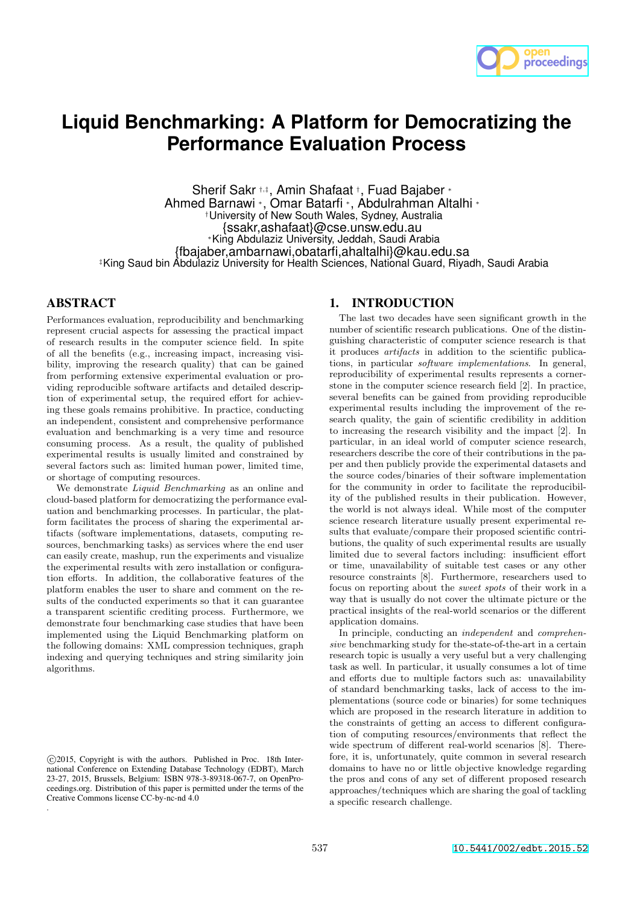

# **Liquid Benchmarking: A Platform for Democratizing the Performance Evaluation Process**

Sherif Sakr †,‡ , Amin Shafaat † , Fuad Bajaber <sup>∗</sup> Ahmed Barnawi <sup>∗</sup>, Omar Batarfi <sup>∗</sup>, Abdulrahman Altalhi <sup>∗</sup> †University of New South Wales, Sydney, Australia {ssakr,ashafaat}@cse.unsw.edu.au <sup>∗</sup>King Abdulaziz University, Jeddah, Saudi Arabia {fbajaber,ambarnawi,obatarfi,ahaltalhi}@kau.edu.sa ‡King Saud bin Abdulaziz University for Health Sciences, National Guard, Riyadh, Saudi Arabia

# **ABSTRACT**

Performances evaluation, reproducibility and benchmarking represent crucial aspects for assessing the practical impact of research results in the computer science field. In spite of all the benefits (e.g., increasing impact, increasing visibility, improving the research quality) that can be gained from performing extensive experimental evaluation or providing reproducible software artifacts and detailed description of experimental setup, the required effort for achieving these goals remains prohibitive. In practice, conducting an independent, consistent and comprehensive performance evaluation and benchmarking is a very time and resource consuming process. As a result, the quality of published experimental results is usually limited and constrained by several factors such as: limited human power, limited time, or shortage of computing resources.

We demonstrate *Liquid Benchmarking* as an online and cloud-based platform for democratizing the performance evaluation and benchmarking processes. In particular, the platform facilitates the process of sharing the experimental artifacts (software implementations, datasets, computing resources, benchmarking tasks) as services where the end user can easily create, mashup, run the experiments and visualize the experimental results with zero installation or configuration efforts. In addition, the collaborative features of the platform enables the user to share and comment on the results of the conducted experiments so that it can guarantee a transparent scientific crediting process. Furthermore, we demonstrate four benchmarking case studies that have been implemented using the Liquid Benchmarking platform on the following domains: XML compression techniques, graph indexing and querying techniques and string similarity join algorithms.

## 1. INTRODUCTION

The last two decades have seen significant growth in the number of scientific research publications. One of the distinguishing characteristic of computer science research is that it produces artifacts in addition to the scientific publications, in particular software implementations. In general, reproducibility of experimental results represents a cornerstone in the computer science research field [2]. In practice, several benefits can be gained from providing reproducible experimental results including the improvement of the research quality, the gain of scientific credibility in addition to increasing the research visibility and the impact [2]. In particular, in an ideal world of computer science research, researchers describe the core of their contributions in the paper and then publicly provide the experimental datasets and the source codes/binaries of their software implementation for the community in order to facilitate the reproducibility of the published results in their publication. However, the world is not always ideal. While most of the computer science research literature usually present experimental results that evaluate/compare their proposed scientific contributions, the quality of such experimental results are usually limited due to several factors including: insufficient effort or time, unavailability of suitable test cases or any other resource constraints [8]. Furthermore, researchers used to focus on reporting about the sweet spots of their work in a way that is usually do not cover the ultimate picture or the practical insights of the real-world scenarios or the different application domains.

In principle, conducting an independent and comprehensive benchmarking study for the-state-of-the-art in a certain research topic is usually a very useful but a very challenging task as well. In particular, it usually consumes a lot of time and efforts due to multiple factors such as: unavailability of standard benchmarking tasks, lack of access to the implementations (source code or binaries) for some techniques which are proposed in the research literature in addition to the constraints of getting an access to different configuration of computing resources/environments that reflect the wide spectrum of different real-world scenarios [8]. Therefore, it is, unfortunately, quite common in several research domains to have no or little objective knowledge regarding the pros and cons of any set of different proposed research approaches/techniques which are sharing the goal of tackling a specific research challenge.

c 2015, Copyright is with the authors. Published in Proc. 18th International Conference on Extending Database Technology (EDBT), March 23-27, 2015, Brussels, Belgium: ISBN 978-3-89318-067-7, on OpenProceedings.org. Distribution of this paper is permitted under the terms of the Creative Commons license CC-by-nc-nd 4.0 .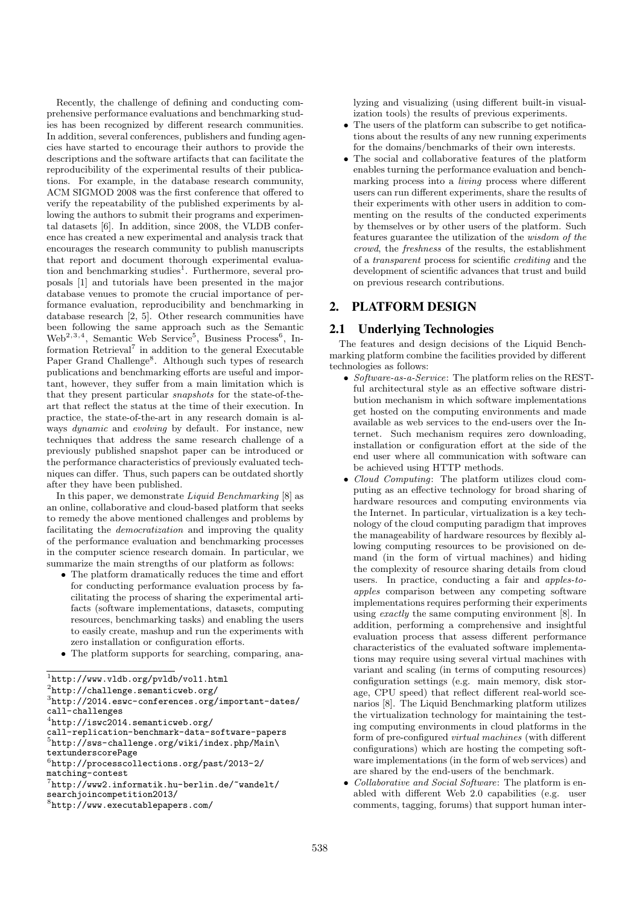Recently, the challenge of defining and conducting comprehensive performance evaluations and benchmarking studies has been recognized by different research communities. In addition, several conferences, publishers and funding agencies have started to encourage their authors to provide the descriptions and the software artifacts that can facilitate the reproducibility of the experimental results of their publications. For example, in the database research community, ACM SIGMOD 2008 was the first conference that offered to verify the repeatability of the published experiments by allowing the authors to submit their programs and experimental datasets [6]. In addition, since 2008, the VLDB conference has created a new experimental and analysis track that encourages the research community to publish manuscripts that report and document thorough experimental evaluation and benchmarking studies<sup>1</sup>. Furthermore, several proposals [1] and tutorials have been presented in the major database venues to promote the crucial importance of performance evaluation, reproducibility and benchmarking in database research [2, 5]. Other research communities have been following the same approach such as the Semantic Web<sup>2,3,4</sup>, Semantic Web Service<sup>5</sup>, Business Process<sup>6</sup>, Information Retrieval<sup>7</sup> in addition to the general Executable Paper Grand Challenge<sup>8</sup>. Although such types of research publications and benchmarking efforts are useful and important, however, they suffer from a main limitation which is that they present particular snapshots for the state-of-theart that reflect the status at the time of their execution. In practice, the state-of-the-art in any research domain is always dynamic and evolving by default. For instance, new techniques that address the same research challenge of a previously published snapshot paper can be introduced or the performance characteristics of previously evaluated techniques can differ. Thus, such papers can be outdated shortly after they have been published.

In this paper, we demonstrate Liquid Benchmarking [8] as an online, collaborative and cloud-based platform that seeks to remedy the above mentioned challenges and problems by facilitating the democratization and improving the quality of the performance evaluation and benchmarking processes in the computer science research domain. In particular, we summarize the main strengths of our platform as follows:

- The platform dramatically reduces the time and effort for conducting performance evaluation process by facilitating the process of sharing the experimental artifacts (software implementations, datasets, computing resources, benchmarking tasks) and enabling the users to easily create, mashup and run the experiments with zero installation or configuration efforts.
- The platform supports for searching, comparing, ana-

4 http://iswc2014.semanticweb.org/

lyzing and visualizing (using different built-in visualization tools) the results of previous experiments.

- The users of the platform can subscribe to get notifications about the results of any new running experiments for the domains/benchmarks of their own interests.
- The social and collaborative features of the platform enables turning the performance evaluation and benchmarking process into a living process where different users can run different experiments, share the results of their experiments with other users in addition to commenting on the results of the conducted experiments by themselves or by other users of the platform. Such features guarantee the utilization of the wisdom of the crowd, the freshness of the results, the establishment of a transparent process for scientific crediting and the development of scientific advances that trust and build on previous research contributions.

## 2. PLATFORM DESIGN

## 2.1 Underlying Technologies

The features and design decisions of the Liquid Benchmarking platform combine the facilities provided by different technologies as follows:

- Software-as-a-Service: The platform relies on the RESTful architectural style as an effective software distribution mechanism in which software implementations get hosted on the computing environments and made available as web services to the end-users over the Internet. Such mechanism requires zero downloading, installation or configuration effort at the side of the end user where all communication with software can be achieved using HTTP methods.
- Cloud Computing: The platform utilizes cloud computing as an effective technology for broad sharing of hardware resources and computing environments via the Internet. In particular, virtualization is a key technology of the cloud computing paradigm that improves the manageability of hardware resources by flexibly allowing computing resources to be provisioned on demand (in the form of virtual machines) and hiding the complexity of resource sharing details from cloud users. In practice, conducting a fair and apples-toapples comparison between any competing software implementations requires performing their experiments using exactly the same computing environment [8]. In addition, performing a comprehensive and insightful evaluation process that assess different performance characteristics of the evaluated software implementations may require using several virtual machines with variant and scaling (in terms of computing resources) configuration settings (e.g. main memory, disk storage, CPU speed) that reflect different real-world scenarios [8]. The Liquid Benchmarking platform utilizes the virtualization technology for maintaining the testing computing environments in cloud platforms in the form of pre-configured virtual machines (with different configurations) which are hosting the competing software implementations (in the form of web services) and are shared by the end-users of the benchmark.
- Collaborative and Social Software: The platform is enabled with different Web 2.0 capabilities (e.g. user comments, tagging, forums) that support human inter-

<sup>1</sup> http://www.vldb.org/pvldb/vol1.html

<sup>2</sup> http://challenge.semanticweb.org/

<sup>3</sup> http://2014.eswc-conferences.org/important-dates/ call-challenges

call-replication-benchmark-data-software-papers 5 http://sws-challenge.org/wiki/index.php/Main\

textunderscorePage 6 http://processcollections.org/past/2013-2/ matching-contest

<sup>7</sup> http://www2.informatik.hu-berlin.de/~wandelt/

searchjoincompetition2013/

<sup>8</sup> http://www.executablepapers.com/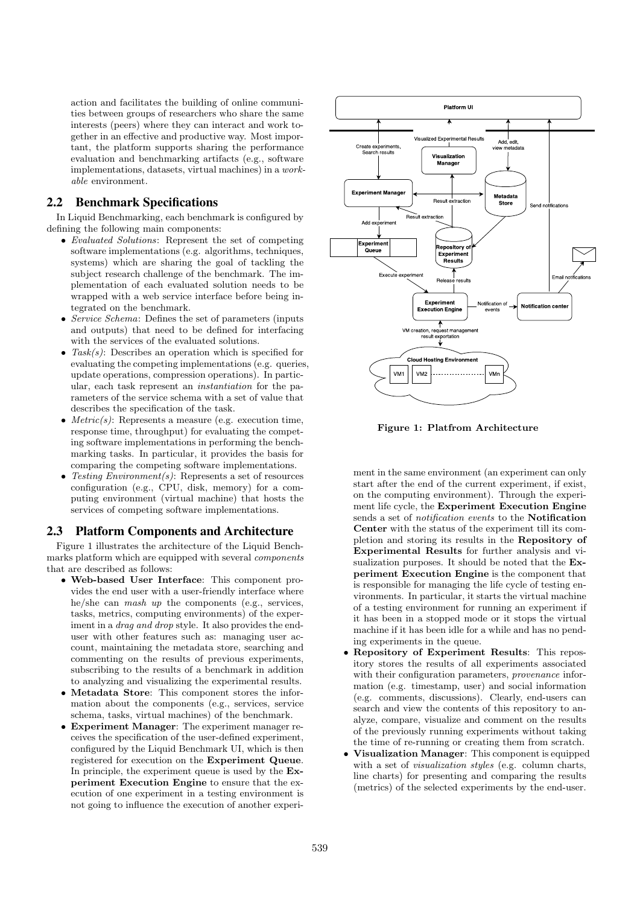action and facilitates the building of online communities between groups of researchers who share the same interests (peers) where they can interact and work together in an effective and productive way. Most important, the platform supports sharing the performance evaluation and benchmarking artifacts (e.g., software implementations, datasets, virtual machines) in a workable environment.

# 2.2 Benchmark Specifications

In Liquid Benchmarking, each benchmark is configured by defining the following main components:

- Evaluated Solutions: Represent the set of competing software implementations (e.g. algorithms, techniques, systems) which are sharing the goal of tackling the subject research challenge of the benchmark. The implementation of each evaluated solution needs to be wrapped with a web service interface before being integrated on the benchmark.
- Service Schema: Defines the set of parameters (inputs and outputs) that need to be defined for interfacing with the services of the evaluated solutions.
- Task(s): Describes an operation which is specified for evaluating the competing implementations (e.g. queries, update operations, compression operations). In particular, each task represent an instantiation for the parameters of the service schema with a set of value that describes the specification of the task.
- $Metric(s)$ : Represents a measure (e.g. execution time, response time, throughput) for evaluating the competing software implementations in performing the benchmarking tasks. In particular, it provides the basis for comparing the competing software implementations.
- Testing  $Environment(s)$ : Represents a set of resources configuration (e.g., CPU, disk, memory) for a computing environment (virtual machine) that hosts the services of competing software implementations.

#### 2.3 Platform Components and Architecture

Figure 1 illustrates the architecture of the Liquid Benchmarks platform which are equipped with several components that are described as follows:

- Web-based User Interface: This component provides the end user with a user-friendly interface where he/she can mash up the components (e.g., services, tasks, metrics, computing environments) of the experiment in a *drag and drop* style. It also provides the enduser with other features such as: managing user account, maintaining the metadata store, searching and commenting on the results of previous experiments, subscribing to the results of a benchmark in addition to analyzing and visualizing the experimental results.
- Metadata Store: This component stores the information about the components (e.g., services, service schema, tasks, virtual machines) of the benchmark.
- Experiment Manager: The experiment manager receives the specification of the user-defined experiment, configured by the Liquid Benchmark UI, which is then registered for execution on the Experiment Queue. In principle, the experiment queue is used by the Experiment Execution Engine to ensure that the execution of one experiment in a testing environment is not going to influence the execution of another experi-



Figure 1: Platfrom Architecture

ment in the same environment (an experiment can only start after the end of the current experiment, if exist, on the computing environment). Through the experiment life cycle, the Experiment Execution Engine sends a set of notification events to the Notification Center with the status of the experiment till its completion and storing its results in the Repository of Experimental Results for further analysis and visualization purposes. It should be noted that the Experiment Execution Engine is the component that is responsible for managing the life cycle of testing environments. In particular, it starts the virtual machine of a testing environment for running an experiment if it has been in a stopped mode or it stops the virtual machine if it has been idle for a while and has no pending experiments in the queue.

- Repository of Experiment Results: This repository stores the results of all experiments associated with their configuration parameters, *provenance* information (e.g. timestamp, user) and social information (e.g. comments, discussions). Clearly, end-users can search and view the contents of this repository to analyze, compare, visualize and comment on the results of the previously running experiments without taking the time of re-running or creating them from scratch.
- Visualization Manager: This component is equipped with a set of *visualization styles* (e.g. column charts, line charts) for presenting and comparing the results (metrics) of the selected experiments by the end-user.